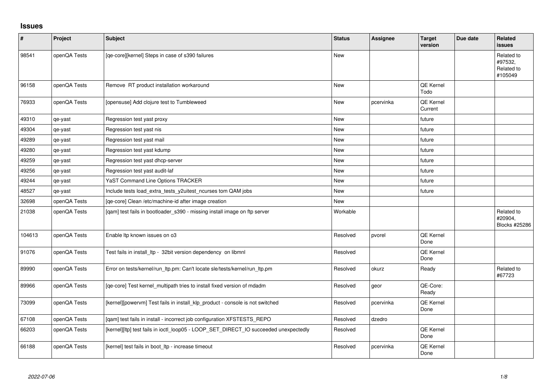## **Issues**

| $\vert$ # | Project      | <b>Subject</b>                                                                       | <b>Status</b> | <b>Assignee</b> | <b>Target</b><br>version    | Due date | <b>Related</b><br><b>issues</b>                |
|-----------|--------------|--------------------------------------------------------------------------------------|---------------|-----------------|-----------------------------|----------|------------------------------------------------|
| 98541     | openQA Tests | [qe-core][kernel] Steps in case of s390 failures                                     | New           |                 |                             |          | Related to<br>#97532,<br>Related to<br>#105049 |
| 96158     | openQA Tests | Remove RT product installation workaround                                            | New           |                 | QE Kernel<br>Todo           |          |                                                |
| 76933     | openQA Tests | [opensuse] Add clojure test to Tumbleweed                                            | <b>New</b>    | pcervinka       | <b>QE Kernel</b><br>Current |          |                                                |
| 49310     | qe-yast      | Regression test yast proxy                                                           | <b>New</b>    |                 | future                      |          |                                                |
| 49304     | qe-yast      | Regression test yast nis                                                             | <b>New</b>    |                 | future                      |          |                                                |
| 49289     | qe-yast      | Regression test yast mail                                                            | <b>New</b>    |                 | future                      |          |                                                |
| 49280     | qe-yast      | Regression test yast kdump                                                           | <b>New</b>    |                 | future                      |          |                                                |
| 49259     | qe-yast      | Regression test yast dhcp-server                                                     | New           |                 | future                      |          |                                                |
| 49256     | qe-yast      | Regression test yast audit-laf                                                       | <b>New</b>    |                 | future                      |          |                                                |
| 49244     | qe-yast      | YaST Command Line Options TRACKER                                                    | New           |                 | future                      |          |                                                |
| 48527     | qe-yast      | Include tests load_extra_tests_y2uitest_ncurses tom QAM jobs                         | <b>New</b>    |                 | future                      |          |                                                |
| 32698     | openQA Tests | [qe-core] Clean /etc/machine-id after image creation                                 | New           |                 |                             |          |                                                |
| 21038     | openQA Tests | [qam] test fails in bootloader_s390 - missing install image on ftp server            | Workable      |                 |                             |          | Related to<br>#20904.<br>Blocks #25286         |
| 104613    | openQA Tests | Enable Itp known issues on o3                                                        | Resolved      | pvorel          | QE Kernel<br>Done           |          |                                                |
| 91076     | openQA Tests | Test fails in install_ltp - 32bit version dependency on libmnl                       | Resolved      |                 | QE Kernel<br>Done           |          |                                                |
| 89990     | openQA Tests | Error on tests/kernel/run_ltp.pm: Can't locate sle/tests/kernel/run_ltp.pm           | Resolved      | okurz           | Ready                       |          | Related to<br>#67723                           |
| 89966     | openQA Tests | [qe-core] Test kernel_multipath tries to install fixed version of mdadm              | Resolved      | geor            | QE-Core:<br>Ready           |          |                                                |
| 73099     | openQA Tests | [kernel][powervm] Test fails in install_klp_product - console is not switched        | Resolved      | pcervinka       | QE Kernel<br>Done           |          |                                                |
| 67108     | openQA Tests | [qam] test fails in install - incorrect job configuration XFSTESTS_REPO              | Resolved      | dzedro          |                             |          |                                                |
| 66203     | openQA Tests | [kernel][ltp] test fails in ioctl_loop05 - LOOP_SET_DIRECT_IO succeeded unexpectedly | Resolved      |                 | QE Kernel<br>Done           |          |                                                |
| 66188     | openQA Tests | [kernel] test fails in boot_ltp - increase timeout                                   | Resolved      | pcervinka       | QE Kernel<br>Done           |          |                                                |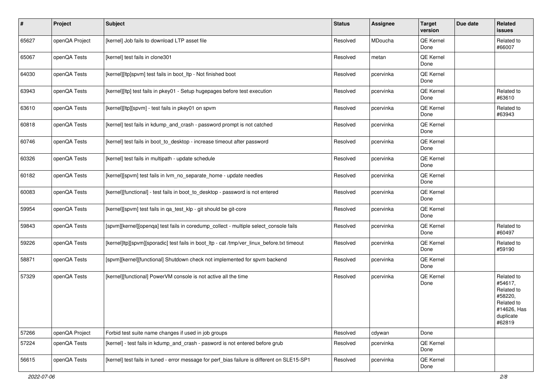| $\sharp$ | Project        | <b>Subject</b>                                                                               | <b>Status</b> | Assignee  | <b>Target</b><br>version | Due date | Related<br>issues                                                                                  |
|----------|----------------|----------------------------------------------------------------------------------------------|---------------|-----------|--------------------------|----------|----------------------------------------------------------------------------------------------------|
| 65627    | openQA Project | [kernel] Job fails to download LTP asset file                                                | Resolved      | MDoucha   | QE Kernel<br>Done        |          | Related to<br>#66007                                                                               |
| 65067    | openQA Tests   | [kernel] test fails in clone301                                                              | Resolved      | metan     | QE Kernel<br>Done        |          |                                                                                                    |
| 64030    | openQA Tests   | [kernel][ltp]spvm] test fails in boot_ltp - Not finished boot                                | Resolved      | pcervinka | QE Kernel<br>Done        |          |                                                                                                    |
| 63943    | openQA Tests   | [kernel][ltp] test fails in pkey01 - Setup hugepages before test execution                   | Resolved      | pcervinka | QE Kernel<br>Done        |          | Related to<br>#63610                                                                               |
| 63610    | openQA Tests   | [kernel][ltp][spvm] - test fails in pkey01 on spvm                                           | Resolved      | pcervinka | QE Kernel<br>Done        |          | Related to<br>#63943                                                                               |
| 60818    | openQA Tests   | [kernel] test fails in kdump_and_crash - password prompt is not catched                      | Resolved      | pcervinka | QE Kernel<br>Done        |          |                                                                                                    |
| 60746    | openQA Tests   | [kernel] test fails in boot to desktop - increase timeout after password                     | Resolved      | pcervinka | QE Kernel<br>Done        |          |                                                                                                    |
| 60326    | openQA Tests   | [kernel] test fails in multipath - update schedule                                           | Resolved      | pcervinka | QE Kernel<br>Done        |          |                                                                                                    |
| 60182    | openQA Tests   | [kernel][spvm] test fails in lym no separate home - update needles                           | Resolved      | pcervinka | QE Kernel<br>Done        |          |                                                                                                    |
| 60083    | openQA Tests   | [kernel][functional] - test fails in boot_to_desktop - password is not entered               | Resolved      | pcervinka | QE Kernel<br>Done        |          |                                                                                                    |
| 59954    | openQA Tests   | [kernel][spvm] test fails in qa_test_klp - git should be git-core                            | Resolved      | pcervinka | QE Kernel<br>Done        |          |                                                                                                    |
| 59843    | openQA Tests   | [spvm][kernel][openqa] test fails in coredump_collect - multiple select_console fails        | Resolved      | pcervinka | QE Kernel<br>Done        |          | Related to<br>#60497                                                                               |
| 59226    | openQA Tests   | [kernel]ltp][spvm][sporadic] test fails in boot_ltp - cat /tmp/ver_linux_before.txt timeout  | Resolved      | pcervinka | QE Kernel<br>Done        |          | Related to<br>#59190                                                                               |
| 58871    | openQA Tests   | [spvm][kernel][functional] Shutdown check not implemented for spvm backend                   | Resolved      | pcervinka | QE Kernel<br>Done        |          |                                                                                                    |
| 57329    | openQA Tests   | [kernel][functional] PowerVM console is not active all the time                              | Resolved      | pcervinka | QE Kernel<br>Done        |          | Related to<br>#54617,<br>Related to<br>#58220,<br>Related to<br>#14626, Has<br>duplicate<br>#62819 |
| 57266    | openQA Project | Forbid test suite name changes if used in job groups                                         | Resolved      | cdywan    | Done                     |          |                                                                                                    |
| 57224    | openQA Tests   | [kernel] - test fails in kdump and crash - pasword is not entered before grub                | Resolved      | pcervinka | QE Kernel<br>Done        |          |                                                                                                    |
| 56615    | openQA Tests   | [kernel] test fails in tuned - error message for perf bias failure is different on SLE15-SP1 | Resolved      | pcervinka | QE Kernel<br>Done        |          |                                                                                                    |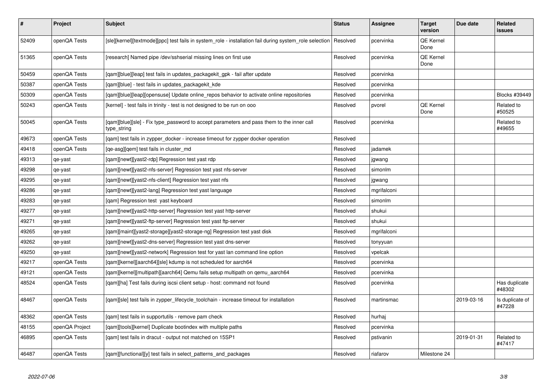| $\vert$ # | Project        | <b>Subject</b>                                                                                           | <b>Status</b> | Assignee    | <b>Target</b><br>version | Due date   | Related<br>issues         |
|-----------|----------------|----------------------------------------------------------------------------------------------------------|---------------|-------------|--------------------------|------------|---------------------------|
| 52409     | openQA Tests   | [sle][kernel][textmode][ppc] test fails in system role - installation fail during system role selection  | Resolved      | pcervinka   | <b>QE Kernel</b><br>Done |            |                           |
| 51365     | openQA Tests   | [research] Named pipe /dev/sshserial missing lines on first use                                          | Resolved      | pcervinka   | QE Kernel<br>Done        |            |                           |
| 50459     | openQA Tests   | [gam][blue][leap] test fails in updates packagekit gpk - fail after update                               | Resolved      | pcervinka   |                          |            |                           |
| 50387     | openQA Tests   | [qam][blue] - test fails in updates_packagekit_kde                                                       | Resolved      | pcervinka   |                          |            |                           |
| 50309     | openQA Tests   | [qam][blue][leap][opensuse] Update online_repos behavior to activate online repositories                 | Resolved      | pcervinka   |                          |            | <b>Blocks #39449</b>      |
| 50243     | openQA Tests   | [kernel] - test fails in trinity - test is not designed to be run on ooo                                 | Resolved      | pvorel      | QE Kernel<br>Done        |            | Related to<br>#50525      |
| 50045     | openQA Tests   | [qam][blue][sle] - Fix type_password to accept parameters and pass them to the inner call<br>type_string | Resolved      | pcervinka   |                          |            | Related to<br>#49655      |
| 49673     | openQA Tests   | [gam] test fails in zypper docker - increase timeout for zypper docker operation                         | Resolved      |             |                          |            |                           |
| 49418     | openQA Tests   | [qe-asg][qem] test fails in cluster_md                                                                   | Resolved      | jadamek     |                          |            |                           |
| 49313     | qe-yast        | [gam][newt][yast2-rdp] Regression test yast rdp                                                          | Resolved      | jgwang      |                          |            |                           |
| 49298     | qe-yast        | [qam][newt][yast2-nfs-server] Regression test yast nfs-server                                            | Resolved      | simonlm     |                          |            |                           |
| 49295     | qe-yast        | [qam][newt][yast2-nfs-client] Regression test yast nfs                                                   | Resolved      | jgwang      |                          |            |                           |
| 49286     | qe-yast        | [qam][newt][yast2-lang] Regression test yast language                                                    | Resolved      | mgrifalconi |                          |            |                           |
| 49283     | qe-yast        | [qam] Regression test yast keyboard                                                                      | Resolved      | simonlm     |                          |            |                           |
| 49277     | qe-yast        | [gam][newt][yast2-http-server] Regression test yast http-server                                          | Resolved      | shukui      |                          |            |                           |
| 49271     | qe-yast        | [qam][newt][yast2-ftp-server] Regression test yast ftp-server                                            | Resolved      | shukui      |                          |            |                           |
| 49265     | qe-yast        | [gam][maint][yast2-storage][yast2-storage-ng] Regression test yast disk                                  | Resolved      | mgrifalconi |                          |            |                           |
| 49262     | qe-yast        | [gam][newt][yast2-dns-server] Regression test yast dns-server                                            | Resolved      | tonyyuan    |                          |            |                           |
| 49250     | qe-yast        | [qam][newt][yast2-network] Regression test for yast lan command line option                              | Resolved      | vpelcak     |                          |            |                           |
| 49217     | openQA Tests   | [qam][kernel][aarch64][sle] kdump is not scheduled for aarch64                                           | Resolved      | pcervinka   |                          |            |                           |
| 49121     | openQA Tests   | [qam][kernel][multipath][aarch64] Qemu fails setup multipath on qemu_aarch64                             | Resolved      | pcervinka   |                          |            |                           |
| 48524     | openQA Tests   | [qam][ha] Test fails during iscsi client setup - host: command not found                                 | Resolved      | pcervinka   |                          |            | Has duplicate<br>#48302   |
| 48467     | openQA Tests   | [gam][sle] test fails in zypper lifecycle toolchain - increase timeout for installation                  | Resolved      | martinsmac  |                          | 2019-03-16 | Is duplicate of<br>#47228 |
| 48362     | openQA Tests   | [gam] test fails in supportutils - remove pam check                                                      | Resolved      | hurhaj      |                          |            |                           |
| 48155     | openQA Project | [qam][tools][kernel] Duplicate bootindex with multiple paths                                             | Resolved      | pcervinka   |                          |            |                           |
| 46895     | openQA Tests   | [qam] test fails in dracut - output not matched on 15SP1                                                 | Resolved      | pstivanin   |                          | 2019-01-31 | Related to<br>#47417      |
| 46487     | openQA Tests   | [gam][functional][y] test fails in select_patterns_and_packages                                          | Resolved      | riafarov    | Milestone 24             |            |                           |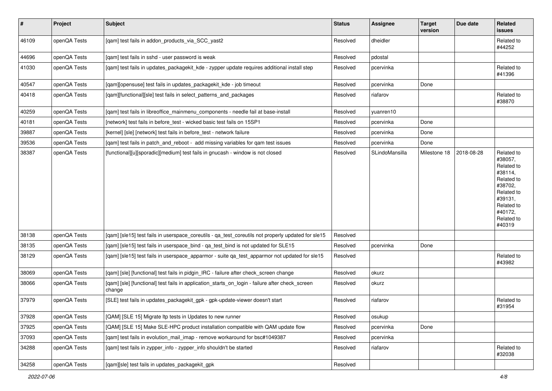| $\vert$ # | Project      | <b>Subject</b>                                                                                            | <b>Status</b> | <b>Assignee</b> | <b>Target</b><br>version | Due date   | Related<br>issues                                                                                                                                 |
|-----------|--------------|-----------------------------------------------------------------------------------------------------------|---------------|-----------------|--------------------------|------------|---------------------------------------------------------------------------------------------------------------------------------------------------|
| 46109     | openQA Tests | [qam] test fails in addon_products_via_SCC_yast2                                                          | Resolved      | dheidler        |                          |            | Related to<br>#44252                                                                                                                              |
| 44696     | openQA Tests | [qam] test fails in sshd - user password is weak                                                          | Resolved      | pdostal         |                          |            |                                                                                                                                                   |
| 41030     | openQA Tests | [qam] test fails in updates_packagekit_kde - zypper update requires additional install step               | Resolved      | pcervinka       |                          |            | Related to<br>#41396                                                                                                                              |
| 40547     | openQA Tests | [qam][opensuse] test fails in updates_packagekit_kde - job timeout                                        | Resolved      | pcervinka       | Done                     |            |                                                                                                                                                   |
| 40418     | openQA Tests | [qam][functional][sle] test fails in select_patterns_and_packages                                         | Resolved      | riafarov        |                          |            | Related to<br>#38870                                                                                                                              |
| 40259     | openQA Tests | [qam] test fails in libreoffice_mainmenu_components - needle fail at base-install                         | Resolved      | yuanren10       |                          |            |                                                                                                                                                   |
| 40181     | openQA Tests | [network] test fails in before_test - wicked basic test fails on 15SP1                                    | Resolved      | pcervinka       | Done                     |            |                                                                                                                                                   |
| 39887     | openQA Tests | [kernel] [sle] [network] test fails in before_test - network failure                                      | Resolved      | pcervinka       | Done                     |            |                                                                                                                                                   |
| 39536     | openQA Tests | [qam] test fails in patch_and_reboot - add missing variables for qam test issues                          | Resolved      | pcervinka       | Done                     |            |                                                                                                                                                   |
| 38387     | openQA Tests | [functional][u][sporadic][medium] test fails in gnucash - window is not closed                            | Resolved      | SLindoMansilla  | Milestone 18             | 2018-08-28 | Related to<br>#38057,<br>Related to<br>#38114,<br>Related to<br>#38702,<br>Related to<br>#39131,<br>Related to<br>#40172,<br>Related to<br>#40319 |
| 38138     | openQA Tests | [qam] [sle15] test fails in userspace_coreutils - qa_test_coreutils not properly updated for sle15        | Resolved      |                 |                          |            |                                                                                                                                                   |
| 38135     | openQA Tests | [qam] [sle15] test fails in userspace_bind - qa_test_bind is not updated for SLE15                        | Resolved      | pcervinka       | Done                     |            |                                                                                                                                                   |
| 38129     | openQA Tests | [qam] [sle15] test fails in userspace_apparmor - suite qa_test_apparmor not updated for sle15             | Resolved      |                 |                          |            | Related to<br>#43982                                                                                                                              |
| 38069     | openQA Tests | [gam] [sle] [functional] test fails in pidgin IRC - failure after check screen change                     | Resolved      | okurz           |                          |            |                                                                                                                                                   |
| 38066     | openQA Tests | [qam] [sle] [functional] test fails in application_starts_on_login - failure after check_screen<br>change | Resolved      | okurz           |                          |            |                                                                                                                                                   |
| 37979     | openQA Tests | [SLE] test fails in updates_packagekit_gpk - gpk-update-viewer doesn't start                              | Resolved      | riafarov        |                          |            | Related to<br>#31954                                                                                                                              |
| 37928     | openQA Tests | [QAM] [SLE 15] Migrate Itp tests in Updates to new runner                                                 | Resolved      | osukup          |                          |            |                                                                                                                                                   |
| 37925     | openQA Tests | [QAM] [SLE 15] Make SLE-HPC product installation compatible with QAM update flow                          | Resolved      | pcervinka       | Done                     |            |                                                                                                                                                   |
| 37093     | openQA Tests | [qam] test fails in evolution_mail_imap - remove workaround for bsc#1049387                               | Resolved      | pcervinka       |                          |            |                                                                                                                                                   |
| 34288     | openQA Tests | [qam] test fails in zypper_info - zypper_info shouldn't be started                                        | Resolved      | riafarov        |                          |            | Related to<br>#32038                                                                                                                              |
| 34258     | openQA Tests | [qam][sle] test fails in updates_packagekit_gpk                                                           | Resolved      |                 |                          |            |                                                                                                                                                   |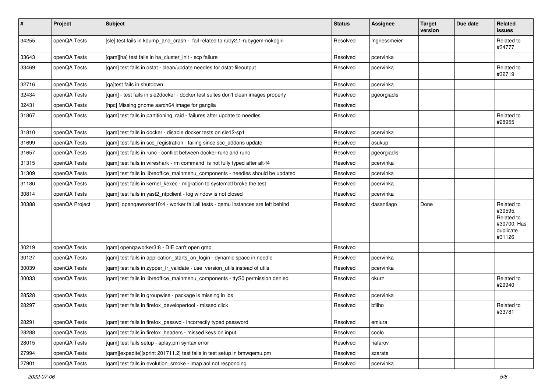| $\sharp$ | Project        | Subject                                                                           | <b>Status</b> | Assignee     | <b>Target</b><br>version | Due date | Related<br>issues                                                         |
|----------|----------------|-----------------------------------------------------------------------------------|---------------|--------------|--------------------------|----------|---------------------------------------------------------------------------|
| 34255    | openQA Tests   | [sle] test fails in kdump_and_crash - fail related to ruby2.1-rubygem-nokogiri    | Resolved      | mgriessmeier |                          |          | Related to<br>#34777                                                      |
| 33643    | openQA Tests   | [qam][ha] test fails in ha_cluster_init - scp failure                             | Resolved      | pcervinka    |                          |          |                                                                           |
| 33469    | openQA Tests   | [qam] test fails in dstat - clean/update needles for dstat-fileoutput             | Resolved      | pcervinka    |                          |          | Related to<br>#32719                                                      |
| 32716    | openQA Tests   | [qa]test fails in shutdown                                                        | Resolved      | pcervinka    |                          |          |                                                                           |
| 32434    | openQA Tests   | [qam] - test fails in sle2docker - docker test suites don't clean images properly | Resolved      | pgeorgiadis  |                          |          |                                                                           |
| 32431    | openQA Tests   | [hpc] Missing gnome aarch64 image for ganglia                                     | Resolved      |              |                          |          |                                                                           |
| 31867    | openQA Tests   | [qam] test fails in partitioning_raid - failures after update to needles          | Resolved      |              |                          |          | Related to<br>#28955                                                      |
| 31810    | openQA Tests   | [qam] test fails in docker - disable docker tests on sle12-sp1                    | Resolved      | pcervinka    |                          |          |                                                                           |
| 31699    | openQA Tests   | [qam] test fails in scc_registration - failing since scc_addons update            | Resolved      | osukup       |                          |          |                                                                           |
| 31657    | openQA Tests   | [qam] test fails in runc - conflict between docker-runc and runc                  | Resolved      | pgeorgiadis  |                          |          |                                                                           |
| 31315    | openQA Tests   | [qam] test fails in wireshark - rm command is not fully typed after alt-f4        | Resolved      | pcervinka    |                          |          |                                                                           |
| 31309    | openQA Tests   | [qam] test fails in libreoffice_mainmenu_components - needles should be updated   | Resolved      | pcervinka    |                          |          |                                                                           |
| 31180    | openQA Tests   | [qam] test fails in kernel_kexec - migration to systemctl broke the test          | Resolved      | pcervinka    |                          |          |                                                                           |
| 30814    | openQA Tests   | [qam] test fails in yast2_ntpclient - log window is not closed                    | Resolved      | pcervinka    |                          |          |                                                                           |
| 30388    | openQA Project | [gam] opengaworker10:4 - worker fail all tests - gemu instances are left behind   | Resolved      | dasantiago   | Done                     |          | Related to<br>#30595,<br>Related to<br>#30700, Has<br>duplicate<br>#31126 |
| 30219    | openQA Tests   | [gam] opengaworker3:8 - DIE can't open gmp                                        | Resolved      |              |                          |          |                                                                           |
| 30127    | openQA Tests   | [qam] test fails in application_starts_on_login - dynamic space in needle         | Resolved      | pcervinka    |                          |          |                                                                           |
| 30039    | openQA Tests   | [qam] test fails in zypper_lr_validate - use version_utils instead of utils       | Resolved      | pcervinka    |                          |          |                                                                           |
| 30033    | openQA Tests   | [qam] test fails in libreoffice_mainmenu_components - ttyS0 permission denied     | Resolved      | okurz        |                          |          | Related to<br>#29940                                                      |
| 28528    | openQA Tests   | [qam] test fails in groupwise - package is missing in ibs                         | Resolved      | pcervinka    |                          |          |                                                                           |
| 28297    | openQA Tests   | [qam] test fails in firefox developertool - missed click                          | Resolved      | bfilho       |                          |          | Related to<br>#33781                                                      |
| 28291    | openQA Tests   | [qam] test fails in firefox_passwd - incorrectly typed password                   | Resolved      | emiura       |                          |          |                                                                           |
| 28288    | openQA Tests   | [qam] test fails in firefox_headers - missed keys on input                        | Resolved      | coolo        |                          |          |                                                                           |
| 28015    | openQA Tests   | [gam] test fails setup - aplay.pm syntax error                                    | Resolved      | riafarov     |                          |          |                                                                           |
| 27994    | openQA Tests   | [qam][expedite][sprint 201711.2] test fails in test setup in bmwqemu.pm           | Resolved      | szarate      |                          |          |                                                                           |
| 27901    | openQA Tests   | [qam] test fails in evolution_smoke - imap aol not responding                     | Resolved      | pcervinka    |                          |          |                                                                           |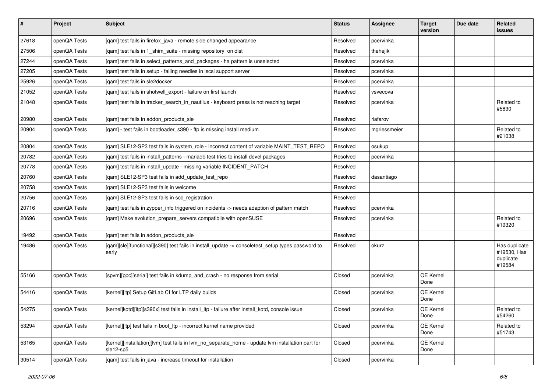| $\sharp$ | Project      | Subject                                                                                                        | <b>Status</b> | Assignee     | <b>Target</b><br>version | Due date | Related<br>issues                                   |
|----------|--------------|----------------------------------------------------------------------------------------------------------------|---------------|--------------|--------------------------|----------|-----------------------------------------------------|
| 27618    | openQA Tests | [qam] test fails in firefox_java - remote side changed appearance                                              | Resolved      | pcervinka    |                          |          |                                                     |
| 27506    | openQA Tests | [qam] test fails in 1_shim_suite - missing repository on dist                                                  | Resolved      | thehejik     |                          |          |                                                     |
| 27244    | openQA Tests | [qam] test fails in select_patterns_and_packages - ha pattern is unselected                                    | Resolved      | pcervinka    |                          |          |                                                     |
| 27205    | openQA Tests | [qam] test fails in setup - failing needles in iscsi support server                                            | Resolved      | pcervinka    |                          |          |                                                     |
| 25926    | openQA Tests | [gam] test fails in sle2docker                                                                                 | Resolved      | pcervinka    |                          |          |                                                     |
| 21052    | openQA Tests | [qam] test fails in shotwell_export - failure on first launch                                                  | Resolved      | vsvecova     |                          |          |                                                     |
| 21048    | openQA Tests | [qam] test fails in tracker_search_in_nautilus - keyboard press is not reaching target                         | Resolved      | pcervinka    |                          |          | Related to<br>#5830                                 |
| 20980    | openQA Tests | [qam] test fails in addon_products_sle                                                                         | Resolved      | riafarov     |                          |          |                                                     |
| 20904    | openQA Tests | [qam] - test fails in bootloader_s390 - ftp is missing install medium                                          | Resolved      | mgriessmeier |                          |          | Related to<br>#21038                                |
| 20804    | openQA Tests | [qam] SLE12-SP3 test fails in system_role - incorrect content of variable MAINT_TEST_REPO                      | Resolved      | osukup       |                          |          |                                                     |
| 20782    | openQA Tests | [gam] test fails in install patterns - mariadb test tries to install devel packages                            | Resolved      | pcervinka    |                          |          |                                                     |
| 20778    | openQA Tests | [qam] test fails in install_update - missing variable INCIDENT_PATCH                                           | Resolved      |              |                          |          |                                                     |
| 20760    | openQA Tests | [qam] SLE12-SP3 test fails in add_update_test_repo                                                             | Resolved      | dasantiago   |                          |          |                                                     |
| 20758    | openQA Tests | [qam] SLE12-SP3 test fails in welcome                                                                          | Resolved      |              |                          |          |                                                     |
| 20756    | openQA Tests | [qam] SLE12-SP3 test fails in scc_registration                                                                 | Resolved      |              |                          |          |                                                     |
| 20716    | openQA Tests | [gam] test fails in zypper info triggered on incidents -> needs adaption of pattern match                      | Resolved      | pcervinka    |                          |          |                                                     |
| 20696    | openQA Tests | [qam] Make evolution_prepare_servers compatibile with openSUSE                                                 | Resolved      | pcervinka    |                          |          | Related to<br>#19320                                |
| 19492    | openQA Tests | [qam] test fails in addon_products_sle                                                                         | Resolved      |              |                          |          |                                                     |
| 19486    | openQA Tests | [qam][sle][functional][s390] test fails in install_update -> consoletest_setup types password to<br>early      | Resolved      | okurz        |                          |          | Has duplicate<br>#19530, Has<br>duplicate<br>#19584 |
| 55166    | openQA Tests | [spvm][ppc][serial] test fails in kdump_and_crash - no response from serial                                    | Closed        | pcervinka    | QE Kernel<br>Done        |          |                                                     |
| 54416    | openQA Tests | [kernel][ltp] Setup GitLab CI for LTP daily builds                                                             | Closed        | pcervinka    | QE Kernel<br>Done        |          |                                                     |
| 54275    | openQA Tests | [kernel]kotd][ltp][s390x] test fails in install_ltp - failure after install_kotd, console issue                | Closed        | pcervinka    | QE Kernel<br>Done        |          | Related to<br>#54260                                |
| 53294    | openQA Tests | [kernel][ltp] test fails in boot ltp - incorrect kernel name provided                                          | Closed        | pcervinka    | QE Kernel<br>Done        |          | Related to<br>#51743                                |
| 53165    | openQA Tests | [kernel][installation][lvm] test fails in lvm no separate home - update lvm installation part for<br>sle12-sp5 | Closed        | pcervinka    | QE Kernel<br>Done        |          |                                                     |
| 30514    | openQA Tests | [gam] test fails in java - increase timeout for installation                                                   | Closed        | pcervinka    |                          |          |                                                     |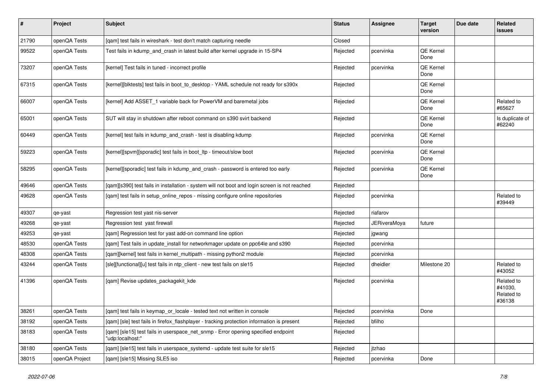| $\pmb{\#}$ | Project        | <b>Subject</b>                                                                                        | <b>Status</b> | Assignee            | <b>Target</b><br>version | Due date | Related<br>issues                             |
|------------|----------------|-------------------------------------------------------------------------------------------------------|---------------|---------------------|--------------------------|----------|-----------------------------------------------|
| 21790      | openQA Tests   | [qam] test fails in wireshark - test don't match capturing needle                                     | Closed        |                     |                          |          |                                               |
| 99522      | openQA Tests   | Test fails in kdump and crash in latest build after kernel upgrade in 15-SP4                          | Rejected      | pcervinka           | <b>QE Kernel</b><br>Done |          |                                               |
| 73207      | openQA Tests   | [kernel] Test fails in tuned - incorrect profile                                                      | Rejected      | pcervinka           | QE Kernel<br>Done        |          |                                               |
| 67315      | openQA Tests   | [kernel][blktests] test fails in boot_to_desktop - YAML schedule not ready for s390x                  | Rejected      |                     | QE Kernel<br>Done        |          |                                               |
| 66007      | openQA Tests   | [kernel] Add ASSET_1 variable back for PowerVM and baremetal jobs                                     | Rejected      |                     | QE Kernel<br>Done        |          | Related to<br>#65627                          |
| 65001      | openQA Tests   | SUT will stay in shutdown after reboot command on s390 svirt backend                                  | Rejected      |                     | QE Kernel<br>Done        |          | Is duplicate of<br>#62240                     |
| 60449      | openQA Tests   | [kernel] test fails in kdump_and_crash - test is disabling kdump                                      | Rejected      | pcervinka           | QE Kernel<br>Done        |          |                                               |
| 59223      | openQA Tests   | [kernel][spvm][sporadic] test fails in boot_ltp - timeout/slow boot                                   | Rejected      | pcervinka           | <b>QE Kernel</b><br>Done |          |                                               |
| 58295      | openQA Tests   | [kernel][sporadic] test fails in kdump_and_crash - password is entered too early                      | Rejected      | pcervinka           | <b>QE Kernel</b><br>Done |          |                                               |
| 49646      | openQA Tests   | [qam][s390] test fails in installation - system will not boot and login screen is not reached         | Rejected      |                     |                          |          |                                               |
| 49628      | openQA Tests   | [qam] test fails in setup_online_repos - missing configure online repositories                        | Rejected      | pcervinka           |                          |          | Related to<br>#39449                          |
| 49307      | qe-yast        | Regression test yast nis-server                                                                       | Rejected      | riafarov            |                          |          |                                               |
| 49268      | qe-yast        | Regression test yast firewall                                                                         | Rejected      | <b>JERiveraMoya</b> | future                   |          |                                               |
| 49253      | qe-yast        | [qam] Regression test for yast add-on command line option                                             | Rejected      | jgwang              |                          |          |                                               |
| 48530      | openQA Tests   | [qam] Test fails in update_install for networkmager update on ppc64le and s390                        | Rejected      | pcervinka           |                          |          |                                               |
| 48308      | openQA Tests   | [qam][kernel] test fails in kernel_multipath - missing python2 module                                 | Rejected      | pcervinka           |                          |          |                                               |
| 43244      | openQA Tests   | [sle][functional][u] test fails in ntp_client - new test fails on sle15                               | Rejected      | dheidler            | Milestone 20             |          | Related to<br>#43052                          |
| 41396      | openQA Tests   | [qam] Revise updates_packagekit_kde                                                                   | Rejected      | pcervinka           |                          |          | Related to<br>#41030,<br>Related to<br>#36138 |
| 38261      | openQA Tests   | [qam] test fails in keymap_or_locale - tested text not written in console                             | Rejected      | pcervinka           | Done                     |          |                                               |
| 38192      | openQA Tests   | [qam] [sle] test fails in firefox_flashplayer - tracking protection information is present            | Rejected      | bfilho              |                          |          |                                               |
| 38183      | openQA Tests   | [gam] [sle15] test fails in userspace net snmp - Error opening specified endpoint<br>"udp:localhost:" | Rejected      |                     |                          |          |                                               |
| 38180      | openQA Tests   | [qam] [sle15] test fails in userspace_systemd - update test suite for sle15                           | Rejected      | jtzhao              |                          |          |                                               |
| 38015      | openQA Project | [qam] [sle15] Missing SLE5 iso                                                                        | Rejected      | pcervinka           | Done                     |          |                                               |